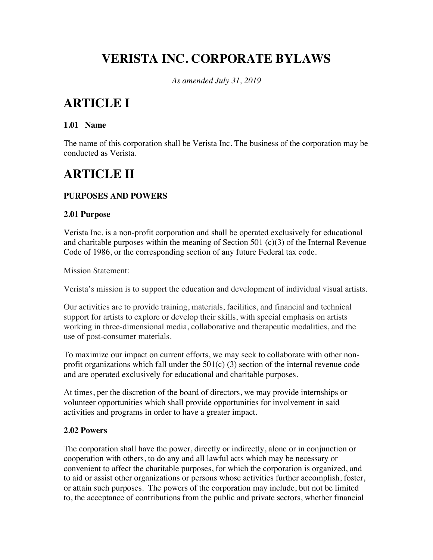# **VERISTA INC. CORPORATE BYLAWS**

*As amended July 31, 2019*

# **ARTICLE I**

#### **1.01 Name**

The name of this corporation shall be Verista Inc. The business of the corporation may be conducted as Verista.

# **ARTICLE II**

## **PURPOSES AND POWERS**

#### **2.01 Purpose**

Verista Inc. is a non-profit corporation and shall be operated exclusively for educational and charitable purposes within the meaning of Section 501 (c)(3) of the Internal Revenue Code of 1986, or the corresponding section of any future Federal tax code.

Mission Statement:

Verista's mission is to support the education and development of individual visual artists.

Our activities are to provide training, materials, facilities, and financial and technical support for artists to explore or develop their skills, with special emphasis on artists working in three-dimensional media, collaborative and therapeutic modalities, and the use of post-consumer materials.

To maximize our impact on current efforts, we may seek to collaborate with other nonprofit organizations which fall under the  $501(c)$  (3) section of the internal revenue code and are operated exclusively for educational and charitable purposes.

At times, per the discretion of the board of directors, we may provide internships or volunteer opportunities which shall provide opportunities for involvement in said activities and programs in order to have a greater impact.

#### **2.02 Powers**

The corporation shall have the power, directly or indirectly, alone or in conjunction or cooperation with others, to do any and all lawful acts which may be necessary or convenient to affect the charitable purposes, for which the corporation is organized, and to aid or assist other organizations or persons whose activities further accomplish, foster, or attain such purposes. The powers of the corporation may include, but not be limited to, the acceptance of contributions from the public and private sectors, whether financial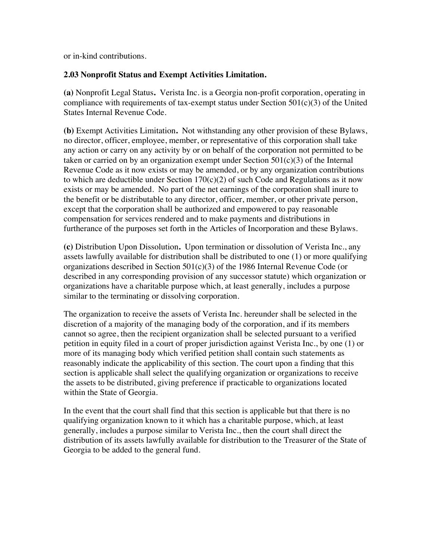or in-kind contributions.

#### **2.03 Nonprofit Status and Exempt Activities Limitation.**

**(a)** Nonprofit Legal Status**.** Verista Inc. is a Georgia non-profit corporation, operating in compliance with requirements of tax-exempt status under Section  $501(c)(3)$  of the United States Internal Revenue Code.

**(b)** Exempt Activities Limitation**.** Not withstanding any other provision of these Bylaws, no director, officer, employee, member, or representative of this corporation shall take any action or carry on any activity by or on behalf of the corporation not permitted to be taken or carried on by an organization exempt under Section  $501(c)(3)$  of the Internal Revenue Code as it now exists or may be amended, or by any organization contributions to which are deductible under Section  $170(c)(2)$  of such Code and Regulations as it now exists or may be amended. No part of the net earnings of the corporation shall inure to the benefit or be distributable to any director, officer, member, or other private person, except that the corporation shall be authorized and empowered to pay reasonable compensation for services rendered and to make payments and distributions in furtherance of the purposes set forth in the Articles of Incorporation and these Bylaws.

**(c)** Distribution Upon Dissolution**.** Upon termination or dissolution of Verista Inc., any assets lawfully available for distribution shall be distributed to one (1) or more qualifying organizations described in Section 501(c)(3) of the 1986 Internal Revenue Code (or described in any corresponding provision of any successor statute) which organization or organizations have a charitable purpose which, at least generally, includes a purpose similar to the terminating or dissolving corporation.

The organization to receive the assets of Verista Inc. hereunder shall be selected in the discretion of a majority of the managing body of the corporation, and if its members cannot so agree, then the recipient organization shall be selected pursuant to a verified petition in equity filed in a court of proper jurisdiction against Verista Inc., by one (1) or more of its managing body which verified petition shall contain such statements as reasonably indicate the applicability of this section. The court upon a finding that this section is applicable shall select the qualifying organization or organizations to receive the assets to be distributed, giving preference if practicable to organizations located within the State of Georgia.

In the event that the court shall find that this section is applicable but that there is no qualifying organization known to it which has a charitable purpose, which, at least generally, includes a purpose similar to Verista Inc., then the court shall direct the distribution of its assets lawfully available for distribution to the Treasurer of the State of Georgia to be added to the general fund.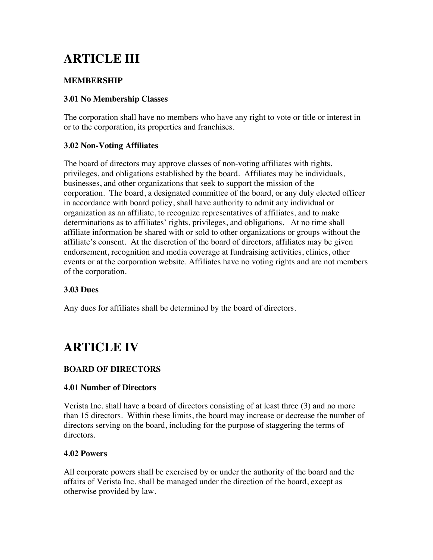# **ARTICLE III**

## **MEMBERSHIP**

#### **3.01 No Membership Classes**

The corporation shall have no members who have any right to vote or title or interest in or to the corporation, its properties and franchises.

## **3.02 Non-Voting Affiliates**

The board of directors may approve classes of non-voting affiliates with rights, privileges, and obligations established by the board. Affiliates may be individuals, businesses, and other organizations that seek to support the mission of the corporation. The board, a designated committee of the board, or any duly elected officer in accordance with board policy, shall have authority to admit any individual or organization as an affiliate, to recognize representatives of affiliates, and to make determinations as to affiliates' rights, privileges, and obligations. At no time shall affiliate information be shared with or sold to other organizations or groups without the affiliate's consent. At the discretion of the board of directors, affiliates may be given endorsement, recognition and media coverage at fundraising activities, clinics, other events or at the corporation website. Affiliates have no voting rights and are not members of the corporation.

## **3.03 Dues**

Any dues for affiliates shall be determined by the board of directors.

# **ARTICLE IV**

## **BOARD OF DIRECTORS**

## **4.01 Number of Directors**

Verista Inc. shall have a board of directors consisting of at least three (3) and no more than 15 directors. Within these limits, the board may increase or decrease the number of directors serving on the board, including for the purpose of staggering the terms of directors.

## **4.02 Powers**

All corporate powers shall be exercised by or under the authority of the board and the affairs of Verista Inc. shall be managed under the direction of the board, except as otherwise provided by law.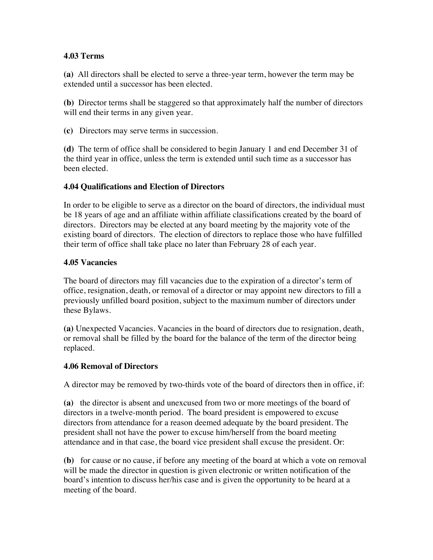#### **4.03 Terms**

**(a)** All directors shall be elected to serve a three-year term, however the term may be extended until a successor has been elected.

**(b)** Director terms shall be staggered so that approximately half the number of directors will end their terms in any given year.

**(c)** Directors may serve terms in succession.

**(d)** The term of office shall be considered to begin January 1 and end December 31 of the third year in office, unless the term is extended until such time as a successor has been elected.

#### **4.04 Qualifications and Election of Directors**

In order to be eligible to serve as a director on the board of directors, the individual must be 18 years of age and an affiliate within affiliate classifications created by the board of directors. Directors may be elected at any board meeting by the majority vote of the existing board of directors. The election of directors to replace those who have fulfilled their term of office shall take place no later than February 28 of each year.

#### **4.05 Vacancies**

The board of directors may fill vacancies due to the expiration of a director's term of office, resignation, death, or removal of a director or may appoint new directors to fill a previously unfilled board position, subject to the maximum number of directors under these Bylaws.

**(a)** Unexpected Vacancies. Vacancies in the board of directors due to resignation, death, or removal shall be filled by the board for the balance of the term of the director being replaced.

## **4.06 Removal of Directors**

A director may be removed by two-thirds vote of the board of directors then in office, if:

**(a)** the director is absent and unexcused from two or more meetings of the board of directors in a twelve-month period. The board president is empowered to excuse directors from attendance for a reason deemed adequate by the board president. The president shall not have the power to excuse him/herself from the board meeting attendance and in that case, the board vice president shall excuse the president. Or:

**(b)** for cause or no cause, if before any meeting of the board at which a vote on removal will be made the director in question is given electronic or written notification of the board's intention to discuss her/his case and is given the opportunity to be heard at a meeting of the board.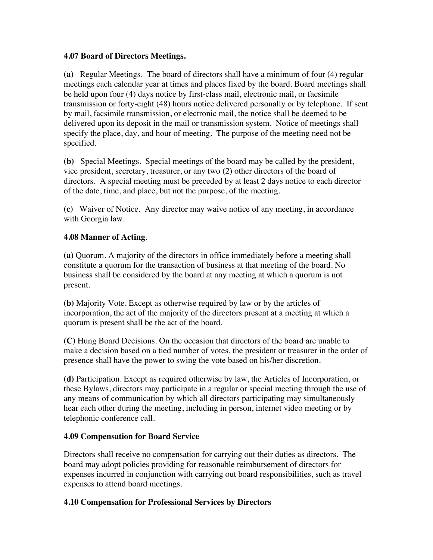#### **4.07 Board of Directors Meetings.**

**(a)** Regular Meetings. The board of directors shall have a minimum of four (4) regular meetings each calendar year at times and places fixed by the board. Board meetings shall be held upon four (4) days notice by first-class mail, electronic mail, or facsimile transmission or forty-eight (48) hours notice delivered personally or by telephone. If sent by mail, facsimile transmission, or electronic mail, the notice shall be deemed to be delivered upon its deposit in the mail or transmission system. Notice of meetings shall specify the place, day, and hour of meeting. The purpose of the meeting need not be specified.

**(b)** Special Meetings. Special meetings of the board may be called by the president, vice president, secretary, treasurer, or any two (2) other directors of the board of directors. A special meeting must be preceded by at least 2 days notice to each director of the date, time, and place, but not the purpose, of the meeting.

**(c)** Waiver of Notice. Any director may waive notice of any meeting, in accordance with Georgia law.

#### **4.08 Manner of Acting**.

**(a)** Quorum. A majority of the directors in office immediately before a meeting shall constitute a quorum for the transaction of business at that meeting of the board. No business shall be considered by the board at any meeting at which a quorum is not present.

**(b)** Majority Vote. Except as otherwise required by law or by the articles of incorporation, the act of the majority of the directors present at a meeting at which a quorum is present shall be the act of the board.

**(C)** Hung Board Decisions. On the occasion that directors of the board are unable to make a decision based on a tied number of votes, the president or treasurer in the order of presence shall have the power to swing the vote based on his/her discretion.

**(d)** Participation. Except as required otherwise by law, the Articles of Incorporation, or these Bylaws, directors may participate in a regular or special meeting through the use of any means of communication by which all directors participating may simultaneously hear each other during the meeting, including in person, internet video meeting or by telephonic conference call.

#### **4.09 Compensation for Board Service**

Directors shall receive no compensation for carrying out their duties as directors. The board may adopt policies providing for reasonable reimbursement of directors for expenses incurred in conjunction with carrying out board responsibilities, such as travel expenses to attend board meetings.

#### **4.10 Compensation for Professional Services by Directors**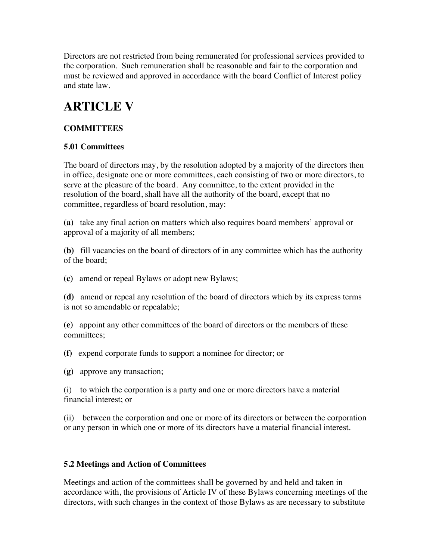Directors are not restricted from being remunerated for professional services provided to the corporation. Such remuneration shall be reasonable and fair to the corporation and must be reviewed and approved in accordance with the board Conflict of Interest policy and state law.

# **ARTICLE V**

## **COMMITTEES**

## **5.01 Committees**

The board of directors may, by the resolution adopted by a majority of the directors then in office, designate one or more committees, each consisting of two or more directors, to serve at the pleasure of the board. Any committee, to the extent provided in the resolution of the board, shall have all the authority of the board, except that no committee, regardless of board resolution, may:

**(a)** take any final action on matters which also requires board members' approval or approval of a majority of all members;

**(b)** fill vacancies on the board of directors of in any committee which has the authority of the board;

**(c)** amend or repeal Bylaws or adopt new Bylaws;

**(d)** amend or repeal any resolution of the board of directors which by its express terms is not so amendable or repealable;

**(e)** appoint any other committees of the board of directors or the members of these committees;

**(f)** expend corporate funds to support a nominee for director; or

**(g)** approve any transaction;

(i) to which the corporation is a party and one or more directors have a material financial interest; or

(ii) between the corporation and one or more of its directors or between the corporation or any person in which one or more of its directors have a material financial interest.

## **5.2 Meetings and Action of Committees**

Meetings and action of the committees shall be governed by and held and taken in accordance with, the provisions of Article IV of these Bylaws concerning meetings of the directors, with such changes in the context of those Bylaws as are necessary to substitute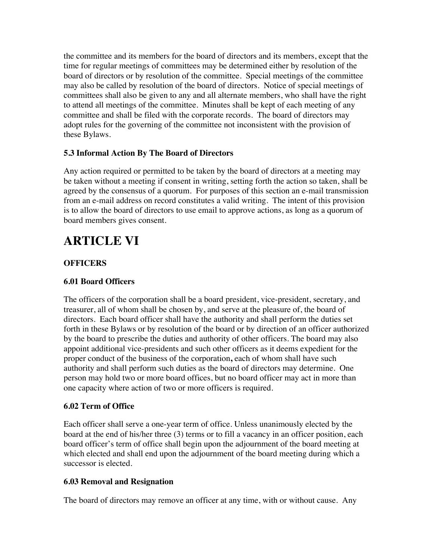the committee and its members for the board of directors and its members, except that the time for regular meetings of committees may be determined either by resolution of the board of directors or by resolution of the committee. Special meetings of the committee may also be called by resolution of the board of directors. Notice of special meetings of committees shall also be given to any and all alternate members, who shall have the right to attend all meetings of the committee. Minutes shall be kept of each meeting of any committee and shall be filed with the corporate records. The board of directors may adopt rules for the governing of the committee not inconsistent with the provision of these Bylaws.

## **5.3 Informal Action By The Board of Directors**

Any action required or permitted to be taken by the board of directors at a meeting may be taken without a meeting if consent in writing, setting forth the action so taken, shall be agreed by the consensus of a quorum. For purposes of this section an e-mail transmission from an e-mail address on record constitutes a valid writing. The intent of this provision is to allow the board of directors to use email to approve actions, as long as a quorum of board members gives consent.

# **ARTICLE VI**

## **OFFICERS**

## **6.01 Board Officers**

The officers of the corporation shall be a board president, vice-president, secretary, and treasurer, all of whom shall be chosen by, and serve at the pleasure of, the board of directors. Each board officer shall have the authority and shall perform the duties set forth in these Bylaws or by resolution of the board or by direction of an officer authorized by the board to prescribe the duties and authority of other officers. The board may also appoint additional vice-presidents and such other officers as it deems expedient for the proper conduct of the business of the corporation**,** each of whom shall have such authority and shall perform such duties as the board of directors may determine. One person may hold two or more board offices, but no board officer may act in more than one capacity where action of two or more officers is required.

## **6.02 Term of Office**

Each officer shall serve a one-year term of office. Unless unanimously elected by the board at the end of his/her three (3) terms or to fill a vacancy in an officer position, each board officer's term of office shall begin upon the adjournment of the board meeting at which elected and shall end upon the adjournment of the board meeting during which a successor is elected.

## **6.03 Removal and Resignation**

The board of directors may remove an officer at any time, with or without cause. Any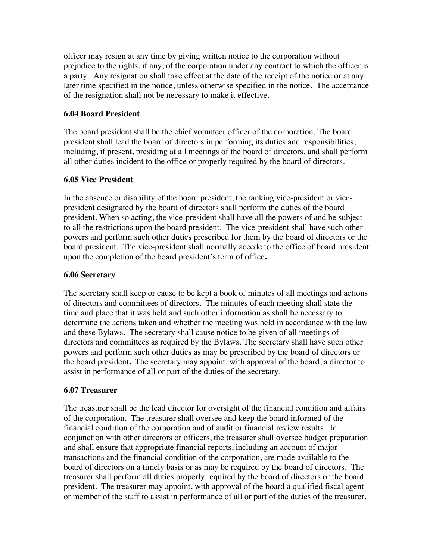officer may resign at any time by giving written notice to the corporation without prejudice to the rights, if any, of the corporation under any contract to which the officer is a party. Any resignation shall take effect at the date of the receipt of the notice or at any later time specified in the notice, unless otherwise specified in the notice. The acceptance of the resignation shall not be necessary to make it effective.

#### **6.04 Board President**

The board president shall be the chief volunteer officer of the corporation. The board president shall lead the board of directors in performing its duties and responsibilities, including, if present, presiding at all meetings of the board of directors, and shall perform all other duties incident to the office or properly required by the board of directors.

#### **6.05 Vice President**

In the absence or disability of the board president, the ranking vice-president or vicepresident designated by the board of directors shall perform the duties of the board president. When so acting, the vice-president shall have all the powers of and be subject to all the restrictions upon the board president. The vice-president shall have such other powers and perform such other duties prescribed for them by the board of directors or the board president. The vice-president shall normally accede to the office of board president upon the completion of the board president's term of office**.**

#### **6.06 Secretary**

The secretary shall keep or cause to be kept a book of minutes of all meetings and actions of directors and committees of directors. The minutes of each meeting shall state the time and place that it was held and such other information as shall be necessary to determine the actions taken and whether the meeting was held in accordance with the law and these Bylaws. The secretary shall cause notice to be given of all meetings of directors and committees as required by the Bylaws. The secretary shall have such other powers and perform such other duties as may be prescribed by the board of directors or the board president**.** The secretary may appoint, with approval of the board, a director to assist in performance of all or part of the duties of the secretary.

#### **6.07 Treasurer**

The treasurer shall be the lead director for oversight of the financial condition and affairs of the corporation. The treasurer shall oversee and keep the board informed of the financial condition of the corporation and of audit or financial review results. In conjunction with other directors or officers, the treasurer shall oversee budget preparation and shall ensure that appropriate financial reports, including an account of major transactions and the financial condition of the corporation, are made available to the board of directors on a timely basis or as may be required by the board of directors. The treasurer shall perform all duties properly required by the board of directors or the board president. The treasurer may appoint, with approval of the board a qualified fiscal agent or member of the staff to assist in performance of all or part of the duties of the treasurer.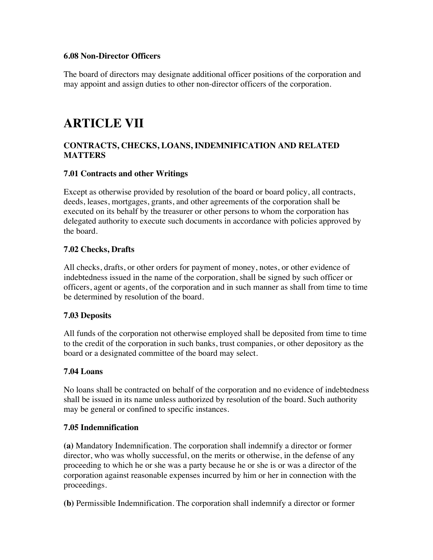#### **6.08 Non-Director Officers**

The board of directors may designate additional officer positions of the corporation and may appoint and assign duties to other non-director officers of the corporation.

## **ARTICLE VII**

## **CONTRACTS, CHECKS, LOANS, INDEMNIFICATION AND RELATED MATTERS**

## **7.01 Contracts and other Writings**

Except as otherwise provided by resolution of the board or board policy, all contracts, deeds, leases, mortgages, grants, and other agreements of the corporation shall be executed on its behalf by the treasurer or other persons to whom the corporation has delegated authority to execute such documents in accordance with policies approved by the board.

## **7.02 Checks, Drafts**

All checks, drafts, or other orders for payment of money, notes, or other evidence of indebtedness issued in the name of the corporation, shall be signed by such officer or officers, agent or agents, of the corporation and in such manner as shall from time to time be determined by resolution of the board.

## **7.03 Deposits**

All funds of the corporation not otherwise employed shall be deposited from time to time to the credit of the corporation in such banks, trust companies, or other depository as the board or a designated committee of the board may select.

## **7.04 Loans**

No loans shall be contracted on behalf of the corporation and no evidence of indebtedness shall be issued in its name unless authorized by resolution of the board. Such authority may be general or confined to specific instances.

## **7.05 Indemnification**

**(a)** Mandatory Indemnification. The corporation shall indemnify a director or former director, who was wholly successful, on the merits or otherwise, in the defense of any proceeding to which he or she was a party because he or she is or was a director of the corporation against reasonable expenses incurred by him or her in connection with the proceedings.

**(b)** Permissible Indemnification. The corporation shall indemnify a director or former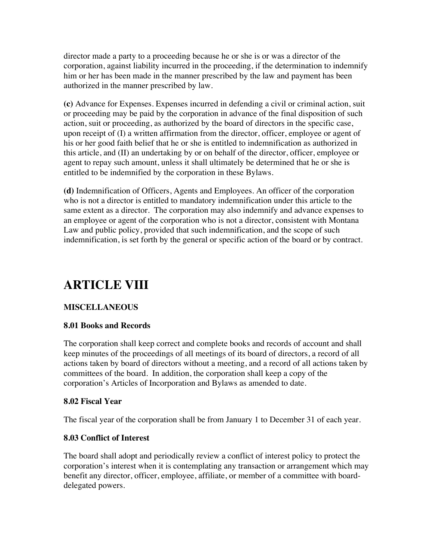director made a party to a proceeding because he or she is or was a director of the corporation, against liability incurred in the proceeding, if the determination to indemnify him or her has been made in the manner prescribed by the law and payment has been authorized in the manner prescribed by law.

**(c)** Advance for Expenses. Expenses incurred in defending a civil or criminal action, suit or proceeding may be paid by the corporation in advance of the final disposition of such action, suit or proceeding, as authorized by the board of directors in the specific case, upon receipt of (I) a written affirmation from the director, officer, employee or agent of his or her good faith belief that he or she is entitled to indemnification as authorized in this article, and (II) an undertaking by or on behalf of the director, officer, employee or agent to repay such amount, unless it shall ultimately be determined that he or she is entitled to be indemnified by the corporation in these Bylaws.

**(d)** Indemnification of Officers, Agents and Employees. An officer of the corporation who is not a director is entitled to mandatory indemnification under this article to the same extent as a director. The corporation may also indemnify and advance expenses to an employee or agent of the corporation who is not a director, consistent with Montana Law and public policy, provided that such indemnification, and the scope of such indemnification, is set forth by the general or specific action of the board or by contract.

# **ARTICLE VIII**

## **MISCELLANEOUS**

## **8.01 Books and Records**

The corporation shall keep correct and complete books and records of account and shall keep minutes of the proceedings of all meetings of its board of directors, a record of all actions taken by board of directors without a meeting, and a record of all actions taken by committees of the board. In addition, the corporation shall keep a copy of the corporation's Articles of Incorporation and Bylaws as amended to date.

#### **8.02 Fiscal Year**

The fiscal year of the corporation shall be from January 1 to December 31 of each year.

## **8.03 Conflict of Interest**

The board shall adopt and periodically review a conflict of interest policy to protect the corporation's interest when it is contemplating any transaction or arrangement which may benefit any director, officer, employee, affiliate, or member of a committee with boarddelegated powers.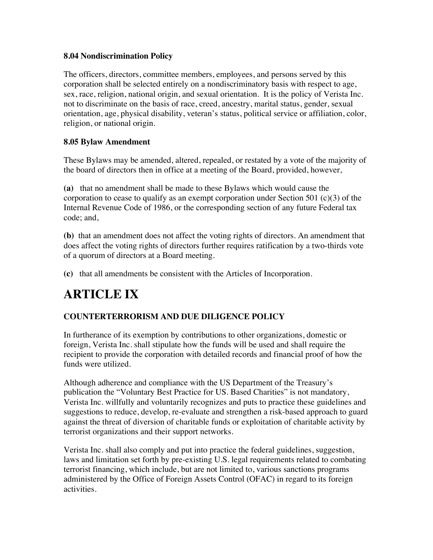#### **8.04 Nondiscrimination Policy**

The officers, directors, committee members, employees, and persons served by this corporation shall be selected entirely on a nondiscriminatory basis with respect to age, sex, race, religion, national origin, and sexual orientation. It is the policy of Verista Inc. not to discriminate on the basis of race, creed, ancestry, marital status, gender, sexual orientation, age, physical disability, veteran's status, political service or affiliation, color, religion, or national origin.

## **8.05 Bylaw Amendment**

These Bylaws may be amended, altered, repealed, or restated by a vote of the majority of the board of directors then in office at a meeting of the Board, provided, however,

**(a)** that no amendment shall be made to these Bylaws which would cause the corporation to cease to qualify as an exempt corporation under Section 501 (c)(3) of the Internal Revenue Code of 1986, or the corresponding section of any future Federal tax code; and,

**(b)** that an amendment does not affect the voting rights of directors. An amendment that does affect the voting rights of directors further requires ratification by a two-thirds vote of a quorum of directors at a Board meeting.

**(c)** that all amendments be consistent with the Articles of Incorporation.

# **ARTICLE IX**

## **COUNTERTERRORISM AND DUE DILIGENCE POLICY**

In furtherance of its exemption by contributions to other organizations, domestic or foreign, Verista Inc. shall stipulate how the funds will be used and shall require the recipient to provide the corporation with detailed records and financial proof of how the funds were utilized.

Although adherence and compliance with the US Department of the Treasury's publication the "Voluntary Best Practice for US. Based Charities" is not mandatory, Verista Inc. willfully and voluntarily recognizes and puts to practice these guidelines and suggestions to reduce, develop, re-evaluate and strengthen a risk-based approach to guard against the threat of diversion of charitable funds or exploitation of charitable activity by terrorist organizations and their support networks.

Verista Inc. shall also comply and put into practice the federal guidelines, suggestion, laws and limitation set forth by pre-existing U.S. legal requirements related to combating terrorist financing, which include, but are not limited to, various sanctions programs administered by the Office of Foreign Assets Control (OFAC) in regard to its foreign activities.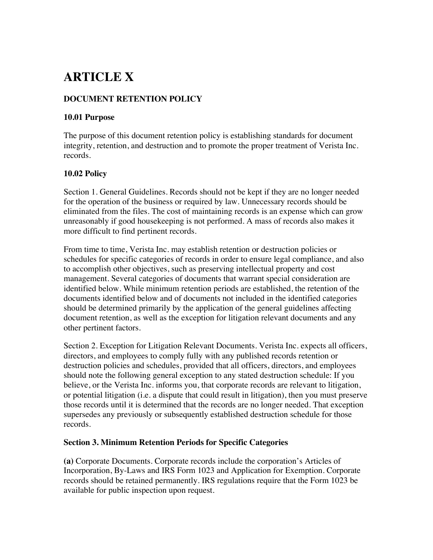# **ARTICLE X**

## **DOCUMENT RETENTION POLICY**

#### **10.01 Purpose**

The purpose of this document retention policy is establishing standards for document integrity, retention, and destruction and to promote the proper treatment of Verista Inc. records.

#### **10.02 Policy**

Section 1. General Guidelines. Records should not be kept if they are no longer needed for the operation of the business or required by law. Unnecessary records should be eliminated from the files. The cost of maintaining records is an expense which can grow unreasonably if good housekeeping is not performed. A mass of records also makes it more difficult to find pertinent records.

From time to time, Verista Inc. may establish retention or destruction policies or schedules for specific categories of records in order to ensure legal compliance, and also to accomplish other objectives, such as preserving intellectual property and cost management. Several categories of documents that warrant special consideration are identified below. While minimum retention periods are established, the retention of the documents identified below and of documents not included in the identified categories should be determined primarily by the application of the general guidelines affecting document retention, as well as the exception for litigation relevant documents and any other pertinent factors.

Section 2. Exception for Litigation Relevant Documents. Verista Inc. expects all officers, directors, and employees to comply fully with any published records retention or destruction policies and schedules, provided that all officers, directors, and employees should note the following general exception to any stated destruction schedule: If you believe, or the Verista Inc. informs you, that corporate records are relevant to litigation, or potential litigation (i.e. a dispute that could result in litigation), then you must preserve those records until it is determined that the records are no longer needed. That exception supersedes any previously or subsequently established destruction schedule for those records.

#### **Section 3. Minimum Retention Periods for Specific Categories**

**(a)** Corporate Documents. Corporate records include the corporation's Articles of Incorporation, By-Laws and IRS Form 1023 and Application for Exemption. Corporate records should be retained permanently. IRS regulations require that the Form 1023 be available for public inspection upon request.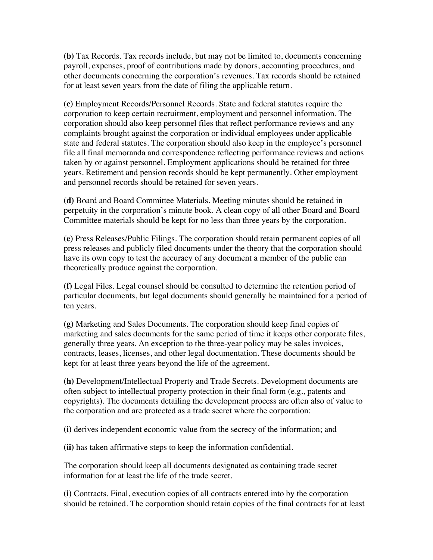**(b)** Tax Records. Tax records include, but may not be limited to, documents concerning payroll, expenses, proof of contributions made by donors, accounting procedures, and other documents concerning the corporation's revenues. Tax records should be retained for at least seven years from the date of filing the applicable return.

**(c)** Employment Records/Personnel Records. State and federal statutes require the corporation to keep certain recruitment, employment and personnel information. The corporation should also keep personnel files that reflect performance reviews and any complaints brought against the corporation or individual employees under applicable state and federal statutes. The corporation should also keep in the employee's personnel file all final memoranda and correspondence reflecting performance reviews and actions taken by or against personnel. Employment applications should be retained for three years. Retirement and pension records should be kept permanently. Other employment and personnel records should be retained for seven years.

**(d)** Board and Board Committee Materials. Meeting minutes should be retained in perpetuity in the corporation's minute book. A clean copy of all other Board and Board Committee materials should be kept for no less than three years by the corporation.

**(e)** Press Releases/Public Filings. The corporation should retain permanent copies of all press releases and publicly filed documents under the theory that the corporation should have its own copy to test the accuracy of any document a member of the public can theoretically produce against the corporation.

**(f)** Legal Files. Legal counsel should be consulted to determine the retention period of particular documents, but legal documents should generally be maintained for a period of ten years.

**(g)** Marketing and Sales Documents. The corporation should keep final copies of marketing and sales documents for the same period of time it keeps other corporate files, generally three years. An exception to the three-year policy may be sales invoices, contracts, leases, licenses, and other legal documentation. These documents should be kept for at least three years beyond the life of the agreement.

**(h)** Development/Intellectual Property and Trade Secrets. Development documents are often subject to intellectual property protection in their final form (e.g., patents and copyrights). The documents detailing the development process are often also of value to the corporation and are protected as a trade secret where the corporation:

**(i)** derives independent economic value from the secrecy of the information; and

**(ii)** has taken affirmative steps to keep the information confidential.

The corporation should keep all documents designated as containing trade secret information for at least the life of the trade secret.

**(i)** Contracts. Final, execution copies of all contracts entered into by the corporation should be retained. The corporation should retain copies of the final contracts for at least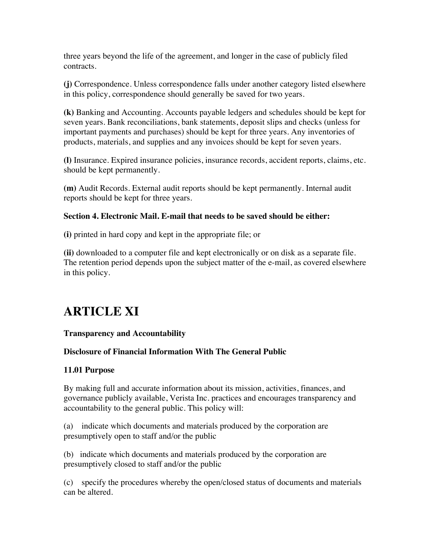three years beyond the life of the agreement, and longer in the case of publicly filed contracts.

**(j)** Correspondence. Unless correspondence falls under another category listed elsewhere in this policy, correspondence should generally be saved for two years.

**(k)** Banking and Accounting. Accounts payable ledgers and schedules should be kept for seven years. Bank reconciliations, bank statements, deposit slips and checks (unless for important payments and purchases) should be kept for three years. Any inventories of products, materials, and supplies and any invoices should be kept for seven years.

**(l)** Insurance. Expired insurance policies, insurance records, accident reports, claims, etc. should be kept permanently.

**(m)** Audit Records. External audit reports should be kept permanently. Internal audit reports should be kept for three years.

## **Section 4. Electronic Mail. E-mail that needs to be saved should be either:**

**(i)** printed in hard copy and kept in the appropriate file; or

**(ii)** downloaded to a computer file and kept electronically or on disk as a separate file. The retention period depends upon the subject matter of the e-mail, as covered elsewhere in this policy.

# **ARTICLE XI**

## **Transparency and Accountability**

## **Disclosure of Financial Information With The General Public**

## **11.01 Purpose**

By making full and accurate information about its mission, activities, finances, and governance publicly available, Verista Inc. practices and encourages transparency and accountability to the general public. This policy will:

(a) indicate which documents and materials produced by the corporation are presumptively open to staff and/or the public

(b) indicate which documents and materials produced by the corporation are presumptively closed to staff and/or the public

(c) specify the procedures whereby the open/closed status of documents and materials can be altered.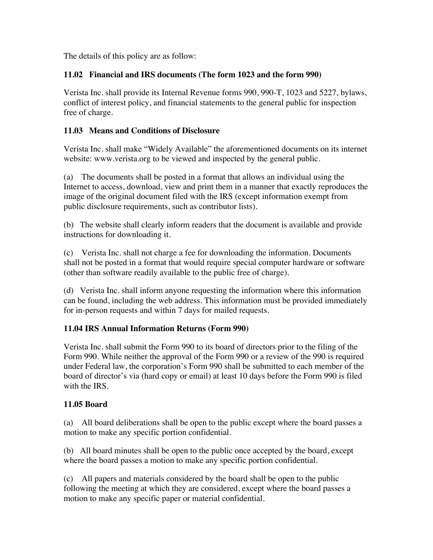The details of this policy are as follow:

#### **11.02 Financial and IRS documents (The form 1023 and the form 990)**

Verista Inc. shall provide its Internal Revenue forms 990, 990-T, 1023 and 5227, bylaws, conflict of interest policy, and financial statements to the general public for inspection free of charge.

#### **11.03 Means and Conditions of Disclosure**

Verista Inc. shall make "Widely Available" the aforementioned documents on its internet website: www.verista.org to be viewed and inspected by the general public.

(a) The documents shall be posted in a format that allows an individual using the Internet to access, download, view and print them in a manner that exactly reproduces the image of the original document filed with the IRS (except information exempt from public disclosure requirements, such as contributor lists).

(b) The website shall clearly inform readers that the document is available and provide instructions for downloading it.

(c) Verista Inc. shall not charge a fee for downloading the information. Documents shall not be posted in a format that would require special computer hardware or software (other than software readily available to the public free of charge).

(d) Verista Inc. shall inform anyone requesting the information where this information can be found, including the web address. This information must be provided immediately for in-person requests and within 7 days for mailed requests.

## **11.04 IRS Annual Information Returns (Form 990)**

Verista Inc. shall submit the Form 990 to its board of directors prior to the filing of the Form 990. While neither the approval of the Form 990 or a review of the 990 is required under Federal law, the corporation's Form 990 shall be submitted to each member of the board of director's via (hard copy or email) at least 10 days before the Form 990 is filed with the IRS.

## **11.05 Board**

(a) All board deliberations shall be open to the public except where the board passes a motion to make any specific portion confidential.

(b) All board minutes shall be open to the public once accepted by the board, except where the board passes a motion to make any specific portion confidential.

(c) All papers and materials considered by the board shall be open to the public following the meeting at which they are considered, except where the board passes a motion to make any specific paper or material confidential.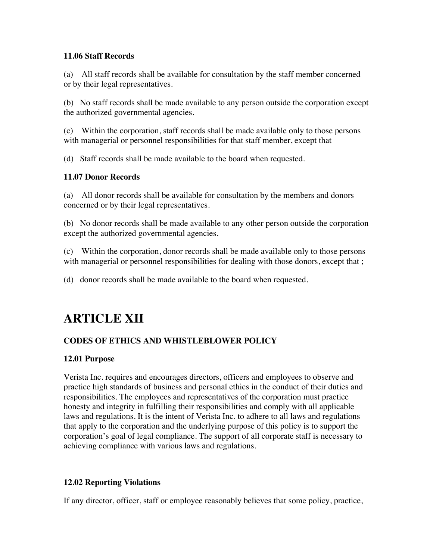#### **11.06 Staff Records**

(a) All staff records shall be available for consultation by the staff member concerned or by their legal representatives.

(b) No staff records shall be made available to any person outside the corporation except the authorized governmental agencies.

(c) Within the corporation, staff records shall be made available only to those persons with managerial or personnel responsibilities for that staff member, except that

(d) Staff records shall be made available to the board when requested.

## **11.07 Donor Records**

(a) All donor records shall be available for consultation by the members and donors concerned or by their legal representatives.

(b) No donor records shall be made available to any other person outside the corporation except the authorized governmental agencies.

(c) Within the corporation, donor records shall be made available only to those persons with managerial or personnel responsibilities for dealing with those donors, except that ;

(d) donor records shall be made available to the board when requested.

# **ARTICLE XII**

## **CODES OF ETHICS AND WHISTLEBLOWER POLICY**

## **12.01 Purpose**

Verista Inc. requires and encourages directors, officers and employees to observe and practice high standards of business and personal ethics in the conduct of their duties and responsibilities. The employees and representatives of the corporation must practice honesty and integrity in fulfilling their responsibilities and comply with all applicable laws and regulations. It is the intent of Verista Inc. to adhere to all laws and regulations that apply to the corporation and the underlying purpose of this policy is to support the corporation's goal of legal compliance. The support of all corporate staff is necessary to achieving compliance with various laws and regulations.

## **12.02 Reporting Violations**

If any director, officer, staff or employee reasonably believes that some policy, practice,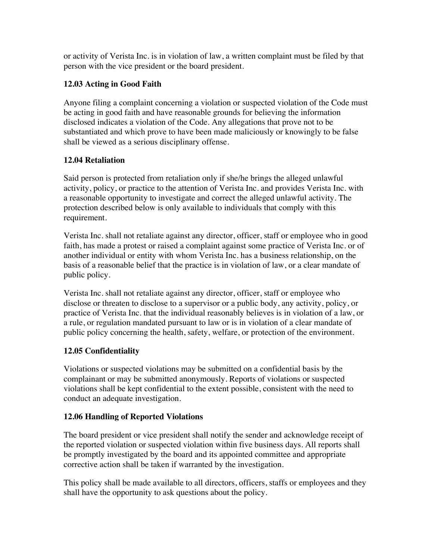or activity of Verista Inc. is in violation of law, a written complaint must be filed by that person with the vice president or the board president.

## **12.03 Acting in Good Faith**

Anyone filing a complaint concerning a violation or suspected violation of the Code must be acting in good faith and have reasonable grounds for believing the information disclosed indicates a violation of the Code. Any allegations that prove not to be substantiated and which prove to have been made maliciously or knowingly to be false shall be viewed as a serious disciplinary offense.

## **12.04 Retaliation**

Said person is protected from retaliation only if she/he brings the alleged unlawful activity, policy, or practice to the attention of Verista Inc. and provides Verista Inc. with a reasonable opportunity to investigate and correct the alleged unlawful activity. The protection described below is only available to individuals that comply with this requirement.

Verista Inc. shall not retaliate against any director, officer, staff or employee who in good faith, has made a protest or raised a complaint against some practice of Verista Inc. or of another individual or entity with whom Verista Inc. has a business relationship, on the basis of a reasonable belief that the practice is in violation of law, or a clear mandate of public policy.

Verista Inc. shall not retaliate against any director, officer, staff or employee who disclose or threaten to disclose to a supervisor or a public body, any activity, policy, or practice of Verista Inc. that the individual reasonably believes is in violation of a law, or a rule, or regulation mandated pursuant to law or is in violation of a clear mandate of public policy concerning the health, safety, welfare, or protection of the environment.

## **12.05 Confidentiality**

Violations or suspected violations may be submitted on a confidential basis by the complainant or may be submitted anonymously. Reports of violations or suspected violations shall be kept confidential to the extent possible, consistent with the need to conduct an adequate investigation.

## **12.06 Handling of Reported Violations**

The board president or vice president shall notify the sender and acknowledge receipt of the reported violation or suspected violation within five business days. All reports shall be promptly investigated by the board and its appointed committee and appropriate corrective action shall be taken if warranted by the investigation.

This policy shall be made available to all directors, officers, staffs or employees and they shall have the opportunity to ask questions about the policy.